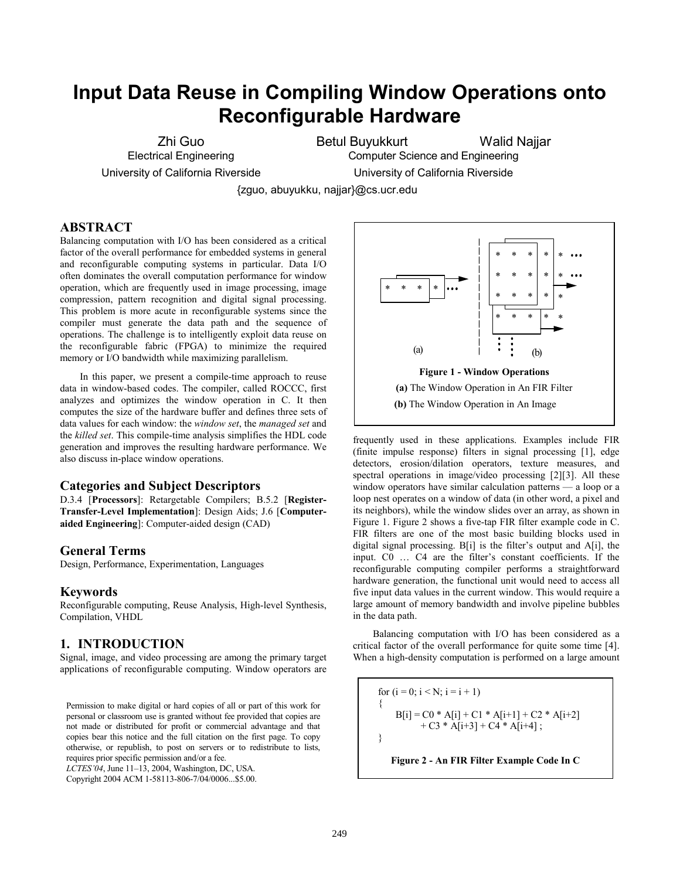# **Input Data Reuse in Compiling Window Operations onto Reconfigurable Hardware**

Zhi Guo Electrical Engineering University of California Riverside Betul Buyukkurt Walid Najjar

Computer Science and Engineering

University of California Riverside

{zguo, abuyukku, najjar}@cs.ucr.edu

# **ABSTRACT**

Balancing computation with I/O has been considered as a critical factor of the overall performance for embedded systems in general and reconfigurable computing systems in particular. Data I/O often dominates the overall computation performance for window operation, which are frequently used in image processing, image compression, pattern recognition and digital signal processing. This problem is more acute in reconfigurable systems since the compiler must generate the data path and the sequence of operations. The challenge is to intelligently exploit data reuse on the reconfigurable fabric (FPGA) to minimize the required memory or I/O bandwidth while maximizing parallelism.

In this paper, we present a compile-time approach to reuse data in window-based codes. The compiler, called ROCCC, first analyzes and optimizes the window operation in C. It then computes the size of the hardware buffer and defines three sets of data values for each window: the *window set*, the *managed set* and the *killed set*. This compile-time analysis simplifies the HDL code generation and improves the resulting hardware performance. We also discuss in-place window operations.

## **Categories and Subject Descriptors**

D.3.4 [**Processors**]: Retargetable Compilers; B.5.2 [**Register-Transfer-Level Implementation**]: Design Aids; J.6 [**Computeraided Engineering**]: Computer-aided design (CAD)

# **General Terms**

Design, Performance, Experimentation, Languages

# **Keywords**

Reconfigurable computing, Reuse Analysis, High-level Synthesis, Compilation, VHDL

# **1. INTRODUCTION**

Signal, image, and video processing are among the primary target applications of reconfigurable computing. Window operators are

Permission to make digital or hard copies of all or part of this work for personal or classroom use is granted without fee provided that copies are not made or distributed for profit or commercial advantage and that copies bear this notice and the full citation on the first page. To copy otherwise, or republish, to post on servers or to redistribute to lists, requires prior specific permission and/or a fee.

*LCTES'04*, June 11–13, 2004, Washington, DC, USA.

Copyright 2004 ACM 1-58113-806-7/04/0006...\$5.00.



frequently used in these applications. Examples include FIR (finite impulse response) filters in signal processing [[1\],](#page-6-0) edge detectors, erosion/dilation operators, texture measures, and spectral operations in image/video processing [\[2\]\[3\]. A](#page-6-0)ll these window operators have similar calculation patterns — a loop or a loop nest operates on a window of data (in other word, a pixel and its neighbors), while the window slides over an array, as shown in Figure 1. Figure 2 shows a five-tap FIR filter example code in C. FIR filters are one of the most basic building blocks used in digital signal processing. B[i] is the filter's output and A[i], the input. C0 … C4 are the filter's constant coefficients. If the reconfigurable computing compiler performs a straightforward hardware generation, the functional unit would need to access all five input data values in the current window. This would require a large amount of memory bandwidth and involve pipeline bubbles in the data path.

Balancing computation with I/O has been considered as a critical factor of the overall performance for quite some time [\[4\].](#page-6-0)  When a high-density computation is performed on a large amount

for  $(i = 0; i < N; i = i + 1)$  $\{$  $B[i] = CO * A[i] + C1 * A[i+1] + C2 * A[i+2]$  $+ C3 * A[i+3] + C4 * A[i+4]$ ; }

**Figure 2 - An FIR Filter Example Code In C**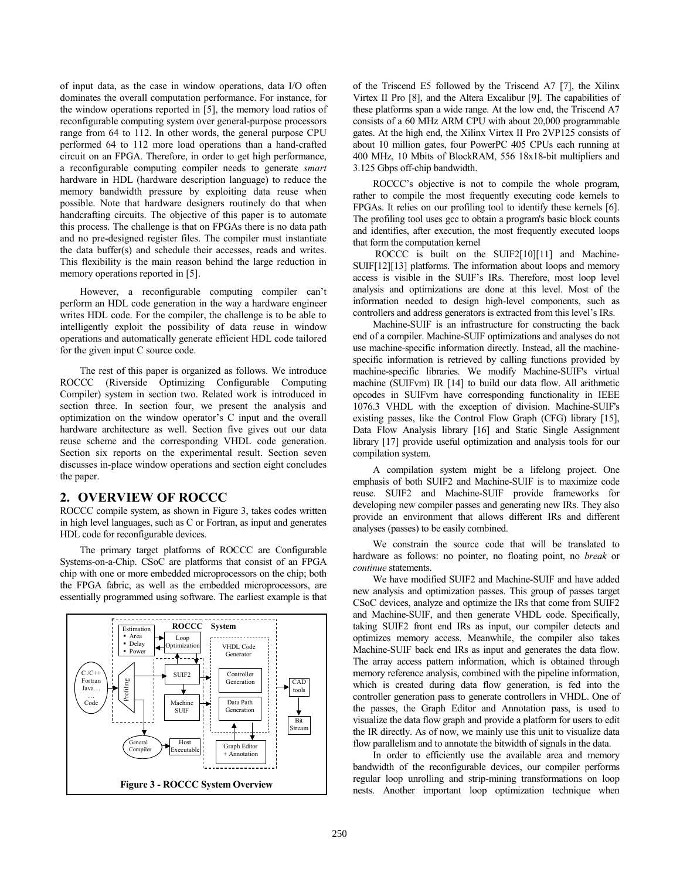of input data, as the case in window operations, data I/O often dominates the overall computation performance. For instance, for the window operations reported in [\[5\], t](#page-6-0)he memory load ratios of reconfigurable computing system over general-purpose processors range from 64 to 112. In other words, the general purpose CPU performed 64 to 112 more load operations than a hand-crafted circuit on an FPGA. Therefore, in order to get high performance, a reconfigurable computing compiler needs to generate *smart*  hardware in HDL (hardware description language) to reduce the memory bandwidth pressure by exploiting data reuse when possible. Note that hardware designers routinely do that when handcrafting circuits. The objective of this paper is to automate this process. The challenge is that on FPGAs there is no data path and no pre-designed register files. The compiler must instantiate the data buffer(s) and schedule their accesses, reads and writes. This flexibility is the main reason behind the large reduction in memory operations reported in [\[5\].](#page-6-0) 

However, a reconfigurable computing compiler can't perform an HDL code generation in the way a hardware engineer writes HDL code. For the compiler, the challenge is to be able to intelligently exploit the possibility of data reuse in window operations and automatically generate efficient HDL code tailored for the given input C source code.

The rest of this paper is organized as follows. We introduce ROCCC (Riverside Optimizing Configurable Computing Compiler) system in section two. Related work is introduced in section three. In section four, we present the analysis and optimization on the window operator's C input and the overall hardware architecture as well. Section five gives out our data reuse scheme and the corresponding VHDL code generation. Section six reports on the experimental result. Section seven discusses in-place window operations and section eight concludes the paper.

# **2. OVERVIEW OF ROCCC**

ROCCC compile system, as shown in Figure 3, takes codes written in high level languages, such as C or Fortran, as input and generates HDL code for reconfigurable devices.

The primary target platforms of ROCCC are Configurable Systems-on-a-Chip. CSoC are platforms that consist of an FPGA chip with one or more embedded microprocessors on the chip; both the FPGA fabric, as well as the embedded microprocessors, are essentially programmed using software. The earliest example is that



of the Triscend E5 followed by the Triscend A7 [[7\],](#page-6-0) the Xilinx Virtex II Pro [[8\],](#page-6-0) and the Altera Excalibur [[9\].](#page-6-0) The capabilities of these platforms span a wide range. At the low end, the Triscend A7 consists of a 60 MHz ARM CPU with about 20,000 programmable gates. At the high end, the Xilinx Virtex II Pro 2VP125 consists of about 10 million gates, four PowerPC 405 CPUs each running at 400 MHz, 10 Mbits of BlockRAM, 556 18x18-bit multipliers and 3.125 Gbps off-chip bandwidth.

ROCCC's objective is not to compile the whole program, rather to compile the most frequently executing code kernels to FPGAs. It relies on our profiling tool to identify these kernels [\[6\].](#page-6-0)  The profiling tool uses gcc to obtain a program's basic block counts and identifies, after execution, the most frequently executed loops that form the computation kernel

ROCCC is built on the SUIF2[[10\]\[11\] a](#page-6-0)nd Machine-SUIF[[12\]\[13\] p](#page-6-0)latforms. The information about loops and memory access is visible in the SUIF's IRs. Therefore, most loop level analysis and optimizations are done at this level. Most of the information needed to design high-level components, such as controllers and address generators is extracted from this level's IRs.

Machine-SUIF is an infrastructure for constructing the back end of a compiler. Machine-SUIF optimizations and analyses do not use machine-specific information directly. Instead, all the machinespecific information is retrieved by calling functions provided by machine-specific libraries. We modify Machine-SUIF's virtual machine (SUIFvm) IR [[14\] t](#page-6-0)o build our data flow. All arithmetic opcodes in SUIFvm have corresponding functionality in IEEE 1076.3 VHDL with the exception of division. Machine-SUIF's existing passes, like the Control Flow Graph (CFG) library [[15\],](#page-6-0)  Data Flow Analysis library [[16\]](#page-6-0) and Static Single Assignment library [[17\]](#page-6-0) provide useful optimization and analysis tools for our compilation system.

A compilation system might be a lifelong project. One emphasis of both SUIF2 and Machine-SUIF is to maximize code reuse. SUIF2 and Machine-SUIF provide frameworks for developing new compiler passes and generating new IRs. They also provide an environment that allows different IRs and different analyses (passes) to be easily combined.

We constrain the source code that will be translated to hardware as follows: no pointer, no floating point, no *break* or *continue* statements.

We have modified SUIF2 and Machine-SUIF and have added new analysis and optimization passes. This group of passes target CSoC devices, analyze and optimize the IRs that come from SUIF2 and Machine-SUIF, and then generate VHDL code. Specifically, taking SUIF2 front end IRs as input, our compiler detects and optimizes memory access. Meanwhile, the compiler also takes Machine-SUIF back end IRs as input and generates the data flow. The array access pattern information, which is obtained through memory reference analysis, combined with the pipeline information, which is created during data flow generation, is fed into the controller generation pass to generate controllers in VHDL. One of the passes, the Graph Editor and Annotation pass, is used to visualize the data flow graph and provide a platform for users to edit the IR directly. As of now, we mainly use this unit to visualize data flow parallelism and to annotate the bitwidth of signals in the data.

In order to efficiently use the available area and memory bandwidth of the reconfigurable devices, our compiler performs regular loop unrolling and strip-mining transformations on loop nests. Another important loop optimization technique when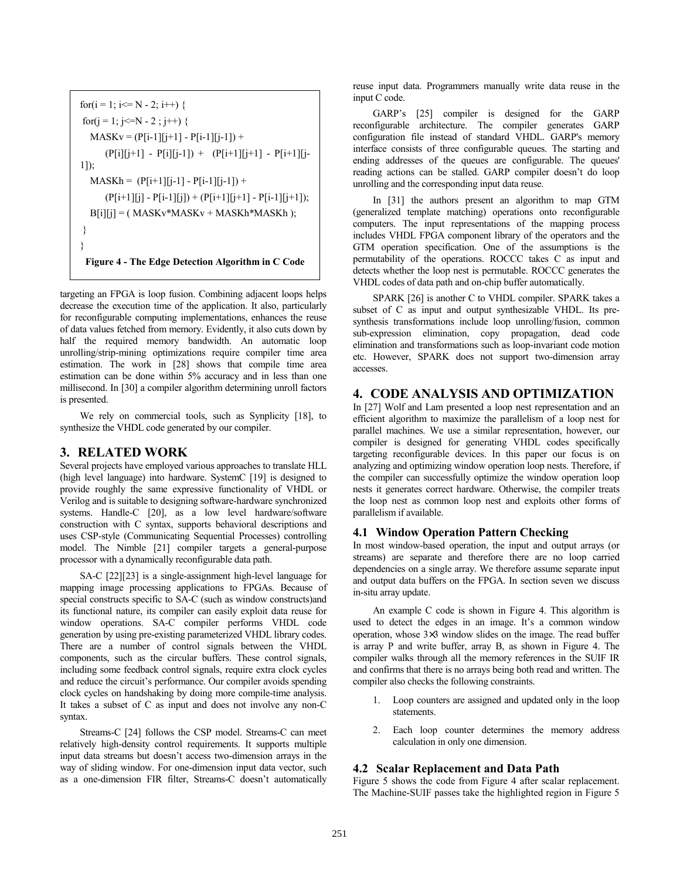<span id="page-2-0"></span>for(i = 1; i<= N - 2; i++) { for(j = 1; j<=N - 2 ; j++) { MASKv = (P[i-1][j+1] - P[i-1][j-1]) + (P[i][j+1] - P[i][j-1]) + (P[i+1][j+1] - P[i+1][j-1]); MASKh = (P[i+1][j-1] - P[i-1][j-1]) + (P[i+1][j] - P[i-1][j]) + (P[i+1][j+1] - P[i-1][j+1]); B[i][j] = ( MASKv\*MASKv + MASKh\*MASKh ); } } **Figure 4 - The Edge Detection Algorithm in C Code** 

targeting an FPGA is loop fusion. Combining adjacent loops helps decrease the execution time of the application. It also, particularly for reconfigurable computing implementations, enhances the reuse of data values fetched from memory. Evidently, it also cuts down by half the required memory bandwidth. An automatic loop unrolling/strip-mining optimizations require compiler time area estimation. The work in [\[28\]](#page-7-0) shows that compile time area estimation can be done within 5% accuracy and in less than one millisecond. In [\[30\] a](#page-7-0) compiler algorithm determining unroll factors is presented.

We rely on commercial tools, such as Synplicity [[18\],](#page-6-0) to synthesize the VHDL code generated by our compiler.

# **3. RELATED WORK**

Several projects have employed various approaches to translate HLL (high level language) into hardware. SystemC [[19\] is](#page-6-0) designed to provide roughly the same expressive functionality of VHDL or Verilog and is suitable to designing software-hardware synchronized systems. Handle-C [[20\],](#page-6-0) as a low level hardware/software construction with C syntax, supports behavioral descriptions and uses CSP-style (Communicating Sequential Processes) controlling model. The Nimble [[21\] co](#page-6-0)mpiler targets a general-purpose processor with a dynamically reconfigurable data path.

SA-C [\[22\]\[23\]](#page-7-0) is a single-assignment high-level language for mapping image processing applications to FPGAs. Because of special constructs specific to SA-C (such as window constructs)and its functional nature, its compiler can easily exploit data reuse for window operations. SA-C compiler performs VHDL code generation by using pre-existing parameterized VHDL library codes. There are a number of control signals between the VHDL components, such as the circular buffers. These control signals, including some feedback control signals, require extra clock cycles and reduce the circuit's performance. Our compiler avoids spending clock cycles on handshaking by doing more compile-time analysis. It takes a subset of C as input and does not involve any non-C syntax.

Streams-C [\[24\] fo](#page-7-0)llows the CSP model. Streams-C can meet relatively high-density control requirements. It supports multiple input data streams but doesn't access two-dimension arrays in the way of sliding window. For one-dimension input data vector, such as a one-dimension FIR filter, Streams-C doesn't automatically

reuse input data. Programmers manually write data reuse in the input C code.

GARP's [\[25\]](#page-7-0) compiler is designed for the GARP reconfigurable architecture. The compiler generates GARP configuration file instead of standard VHDL. GARP's memory interface consists of three configurable queues. The starting and ending addresses of the queues are configurable. The queues' reading actions can be stalled. GARP compiler doesn't do loop unrolling and the corresponding input data reuse.

In [[31\] th](#page-7-0)e authors present an algorithm to map GTM (generalized template matching) operations onto reconfigurable computers. The input representations of the mapping process includes VHDL FPGA component library of the operators and the GTM operation specification. One of the assumptions is the permutability of the operations. ROCCC takes C as input and detects whether the loop nest is permutable. ROCCC generates the VHDL codes of data path and on-chip buffer automatically.

SPARK [\[26\] i](#page-7-0)s another C to VHDL compiler. SPARK takes a subset of C as input and output synthesizable VHDL. Its presynthesis transformations include loop unrolling/fusion, common sub-expression elimination, copy propagation, dead code elimination and transformations such as loop-invariant code motion etc. However, SPARK does not support two-dimension array accesses.

# **4. CODE ANALYSIS AND OPTIMIZATION**

In [\[27\] W](#page-7-0)olf and Lam presented a loop nest representation and an efficient algorithm to maximize the parallelism of a loop nest for parallel machines. We use a similar representation, however, our compiler is designed for generating VHDL codes specifically targeting reconfigurable devices. In this paper our focus is on analyzing and optimizing window operation loop nests. Therefore, if the compiler can successfully optimize the window operation loop nests it generates correct hardware. Otherwise, the compiler treats the loop nest as common loop nest and exploits other forms of parallelism if available.

# **4.1 Window Operation Pattern Checking**

In most window-based operation, the input and output arrays (or streams) are separate and therefore there are no loop carried dependencies on a single array. We therefore assume separate input and output data buffers on the FPGA. In section seven we discuss in-situ array update.

An example C code is shown in Figure 4. This algorithm is used to detect the edges in an image. It's a common window operation, whose 3×3 window slides on the image. The read buffer is array P and write buffer, array B, as shown in Figure 4. The compiler walks through all the memory references in the SUIF IR and confirms that there is no arrays being both read and written. The compiler also checks the following constraints.

- 1. Loop counters are assigned and updated only in the loop statements.
- 2. Each loop counter determines the memory address calculation in only one dimension.

# **4.2 Scalar Replacement and Data Path**

[Figure 5 s](#page-3-0)hows the code from Figure 4 after scalar replacement. The Machine-SUIF passes take the highlighted region in [Figure 5](#page-3-0)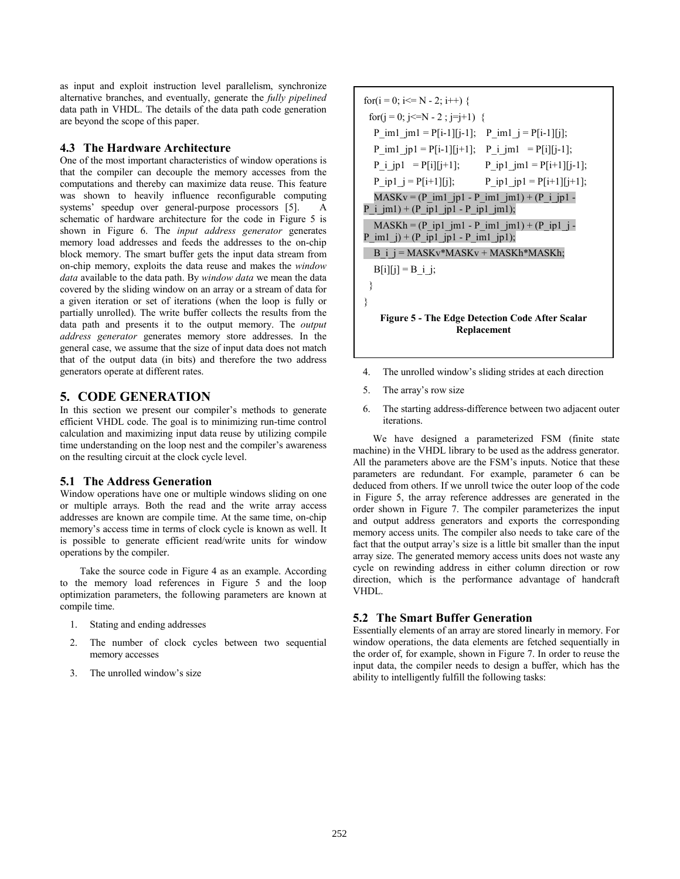<span id="page-3-0"></span>as input and exploit instruction level parallelism, synchronize alternative branches, and eventually, generate the *fully pipelined* data path in VHDL. The details of the data path code generation are beyond the scope of this paper.

# **4.3 The Hardware Architecture**

One of the most important characteristics of window operations is that the compiler can decouple the memory accesses from the computations and thereby can maximize data reuse. This feature was shown to heavily influence reconfigurable computing systems' speedup over general-purpose processors [\[5\].](#page-6-0) A schematic of hardware architecture for the code in Figure 5 is shown in F[igure 6.](#page-4-0) The *input address generator* generates memory load addresses and feeds the addresses to the on-chip block memory. The smart buffer gets the input data stream from on-chip memory, exploits the data reuse and makes the *window data* available to the data path. By *window data* we mean the data covered by the sliding window on an array or a stream of data for a given iteration or set of iterations (when the loop is fully or partially unrolled). The write buffer collects the results from the data path and presents it to the output memory. The *output address generator* generates memory store addresses. In the general case, we assume that the size of input data does not match that of the output data (in bits) and therefore the two address generators operate at different rates.

# **5. CODE GENERATION**

In this section we present our compiler's methods to generate efficient VHDL code. The goal is to minimizing run-time control calculation and maximizing input data reuse by utilizing compile time understanding on the loop nest and the compiler's awareness on the resulting circuit at the clock cycle level.

## **5.1 The Address Generation**

Window operations have one or multiple windows sliding on one or multiple arrays. Both the read and the write array access addresses are known are compile time. At the same time, on-chip memory's access time in terms of clock cycle is known as well. It is possible to generate efficient read/write units for window operations by the compiler.

Take the source code in [Figure 4 a](#page-2-0)s an example. According to the memory load references in Figure 5 and the loop optimization parameters, the following parameters are known at compile time.

- 1. Stating and ending addresses
- 2. The number of clock cycles between two sequential memory accesses
- 3. The unrolled window's size

for(i = 0; i<= N - 2; i++) { for(j = 0; j<=N - 2 ; j=j+1) { P\_im1\_jm1 = P[i-1][j-1]; P\_im1\_j = P[i-1][j]; P\_im1\_jp1 = P[i-1][j+1]; P\_i\_jm1 = P[i][j-1]; P\_i\_jp1 = P[i][j+1]; P\_ip1\_jm1 = P[i+1][j-1]; P\_ip1\_j = P[i+1][j]; P\_ip1\_jp1 = P[i+1][j+1]; MASKv = (P\_im1\_jp1 - P\_im1\_jm1) + (P\_i\_jp1 - P\_i\_jm1) + (P\_ip1\_jp1 - P\_ip1\_jm1); MASKh = (P\_ip1\_jm1 - P\_im1\_jm1) + (P\_ip1\_j - P\_im1\_j) + (P\_ip1\_jp1 - P\_im1\_jp1); B\_i\_j = MASKv\*MASKv + MASKh\*MASKh; B[i][j] = B\_i\_j; } } **Figure 5 - The Edge Detection Code After Scalar** 

4. The unrolled window's sliding strides at each direction

**Replacement**

- 5. The array's row size
- 6. The starting address-difference between two adjacent outer iterations.

We have designed a parameterized FSM (finite state machine) in the VHDL library to be used as the address generator. All the parameters above are the FSM's inputs. Notice that these parameters are redundant. For example, parameter 6 can be deduced from others. If we unroll twice the outer loop of the code in Figure 5, the array reference addresses are generated in the order shown in [Figure 7.](#page-4-0) The compiler parameterizes the input and output address generators and exports the corresponding memory access units. The compiler also needs to take care of the fact that the output array's size is a little bit smaller than the input array size. The generated memory access units does not waste any cycle on rewinding address in either column direction or row direction, which is the performance advantage of handcraft VHDL.

# **5.2 The Smart Buffer Generation**

Essentially elements of an array are stored linearly in memory. For window operations, the data elements are fetched sequentially in the order of, for example, shown in [Figure 7.](#page-4-0) In order to reuse the input data, the compiler needs to design a buffer, which has the ability to intelligently fulfill the following tasks: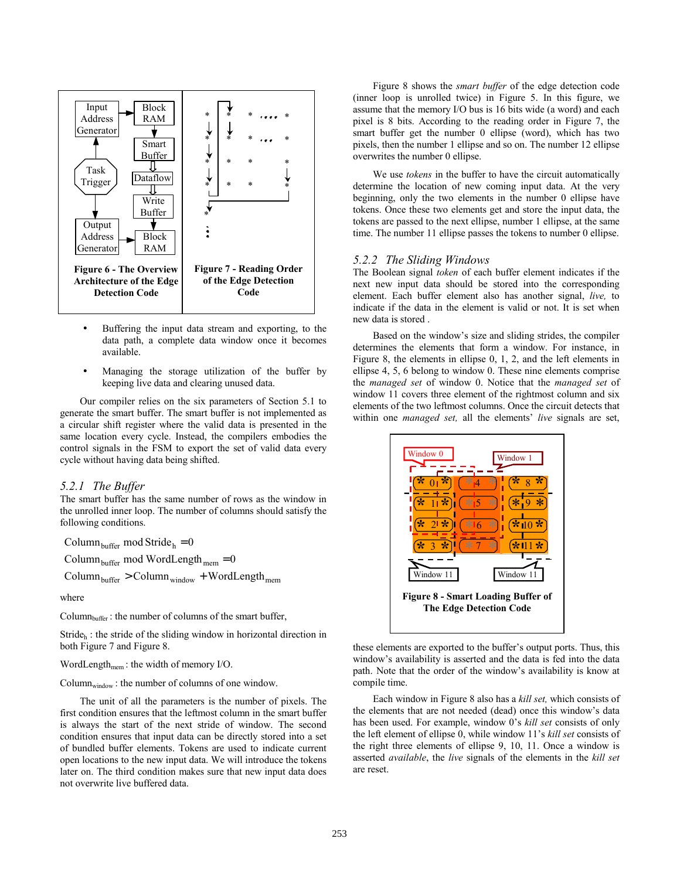<span id="page-4-0"></span>

- Buffering the input data stream and exporting, to the data path, a complete data window once it becomes available.
- Managing the storage utilization of the buffer by keeping live data and clearing unused data.

Our compiler relies on the six parameters of Section 5.1 to generate the smart buffer. The smart buffer is not implemented as a circular shift register where the valid data is presented in the same location every cycle. Instead, the compilers embodies the control signals in the FSM to export the set of valid data every cycle without having data being shifted.

#### *5.2.1 The Buffer*

The smart buffer has the same number of rows as the window in the unrolled inner loop. The number of columns should satisfy the following conditions.

 $Column_{buffer} \text{ mod } Stride_h = 0$ 

 $\text{Column}_{\text{buffer}} > \text{Column}_{\text{window}} + \text{WordLength}_{\text{mem}}$  $\text{Column}_{\text{buffer}}$  mod WordLength  $_{\text{mem}} = 0$ 

where

 $Column<sub>buffer</sub>$ : the number of columns of the smart buffer,

Stride $h$ : the stride of the sliding window in horizontal direction in both Figure 7 and Figure 8.

WordLength $_{\text{mem}}$ : the width of memory I/O.

 $Column_{window}$ : the number of columns of one window.

The unit of all the parameters is the number of pixels. The first condition ensures that the leftmost column in the smart buffer is always the start of the next stride of window. The second condition ensures that input data can be directly stored into a set of bundled buffer elements. Tokens are used to indicate current open locations to the new input data. We will introduce the tokens later on. The third condition makes sure that new input data does not overwrite live buffered data.

Figure 8 shows the *smart buffer* of the edge detection code (inner loop is unrolled twice) in F[igure 5.](#page-3-0) In this figure, we assume that the memory I/O bus is 16 bits wide (a word) and each pixel is 8 bits. According to the reading order in Figure 7, the smart buffer get the number 0 ellipse (word), which has two pixels, then the number 1 ellipse and so on. The number 12 ellipse overwrites the number 0 ellipse.

We use *tokens* in the buffer to have the circuit automatically determine the location of new coming input data. At the very beginning, only the two elements in the number 0 ellipse have tokens. Once these two elements get and store the input data, the tokens are passed to the next ellipse, number 1 ellipse, at the same time. The number 11 ellipse passes the tokens to number 0 ellipse.

#### *5.2.2 The Sliding Windows*

The Boolean signal *token* of each buffer element indicates if the next new input data should be stored into the corresponding element. Each buffer element also has another signal, *live,* to indicate if the data in the element is valid or not. It is set when new data is stored .

Based on the window's size and sliding strides, the compiler determines the elements that form a window. For instance, in Figure 8, the elements in ellipse 0, 1, 2, and the left elements in ellipse 4, 5, 6 belong to window 0. These nine elements comprise the *managed set* of window 0. Notice that the *managed set* of window 11 covers three element of the rightmost column and six elements of the two leftmost columns. Once the circuit detects that within one *managed set,* all the elements' *live* signals are set,



these elements are exported to the buffer's output ports. Thus, this window's availability is asserted and the data is fed into the data path. Note that the order of the window's availability is know at compile time.

Each window in Figure 8 also has a *kill set,* which consists of the elements that are not needed (dead) once this window's data has been used. For example, window 0's *kill set* consists of only the left element of ellipse 0, while window 11's *kill set* consists of the right three elements of ellipse 9, 10, 11. Once a window is asserted *available*, the *live* signals of the elements in the *kill set*  are reset.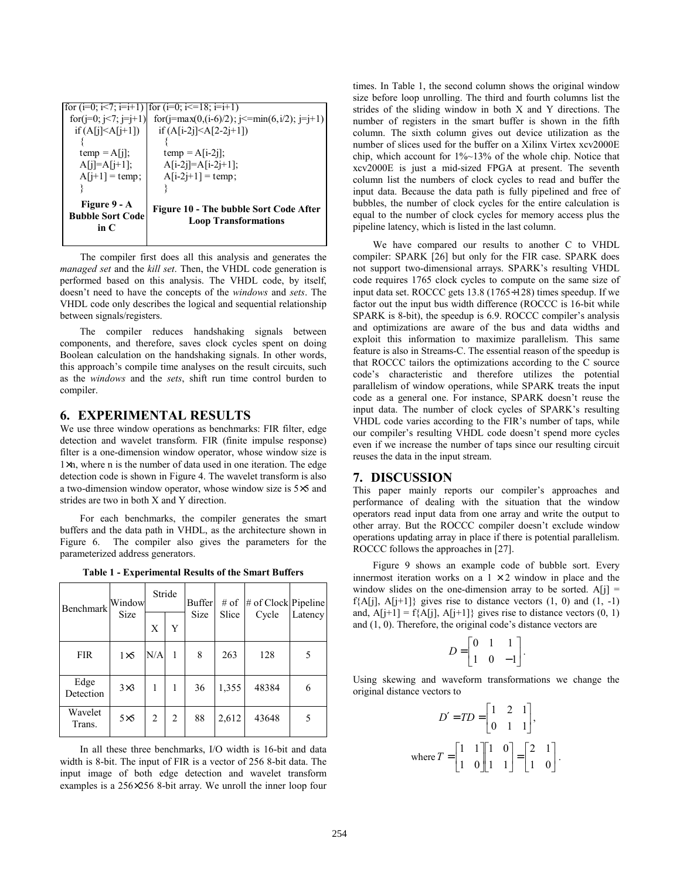<span id="page-5-0"></span>

| for $(j=0; j<7; j=j+1)$<br>if $(A[i] \leq A[i+1])$    | for $(i=0; i<7; i=i+1)$ for $(i=0; i<18; i=i+1)$<br>for(j=max(0,(i-6)/2); j<=min(6,i/2); j=j+1)<br>if $(A[i-2i] < A[2-2i+1])$ |
|-------------------------------------------------------|-------------------------------------------------------------------------------------------------------------------------------|
| $temp = A[i]$ ;<br>$A[i]=A[i+1];$<br>$A[i+1] = temp;$ | $temp = A[i-2j];$<br>$A[i-2j]=A[i-2j+1];$<br>$A[i-2j+1] = temp;$                                                              |
| Figure 9 - A<br><b>Bubble Sort Code</b><br>in $C$     | Figure 10 - The bubble Sort Code After<br><b>Loop Transformations</b>                                                         |

 The compiler first does all this analysis and generates the *managed set* and the *kill set*. Then, the VHDL code generation is performed based on this analysis. The VHDL code, by itself, doesn't need to have the concepts of the *windows* and *sets*. The VHDL code only describes the logical and sequential relationship between signals/registers.

The compiler reduces handshaking signals between components, and therefore, saves clock cycles spent on doing Boolean calculation on the handshaking signals. In other words, this approach's compile time analyses on the result circuits, such as the *windows* and the *sets*, shift run time control burden to compiler.

# **6. EXPERIMENTAL RESULTS**

We use three window operations as benchmarks: FIR filter, edge detection and wavelet transform. FIR (finite impulse response) filter is a one-dimension window operator, whose window size is 1×n, where n is the number of data used in one iteration. The edge detection code is shown i[n Figure 4. T](#page-2-0)he wavelet transform is also a two-dimension window operator, whose window size is 5×5 and strides are two in both X and Y direction.

For each benchmarks, the compiler generates the smart buffers and the data path in VHDL, as the architecture shown in [Figure 6.](#page-4-0) The compiler also gives the parameters for the parameterized address generators.

| <b>Table 1 - Experimental Results of the Smart Buffers</b> |  |  |
|------------------------------------------------------------|--|--|
|------------------------------------------------------------|--|--|

| Benchmark         | Window<br>Size | Stride         |   | <b>Buffer</b> | $#$ of | # of Clock Pipeline |         |
|-------------------|----------------|----------------|---|---------------|--------|---------------------|---------|
|                   |                | X              | Y | Size          | Slice  | Cycle               | Latency |
| <b>FIR</b>        | $1\times 5$    | N/A            | 1 | 8             | 263    | 128                 |         |
| Edge<br>Detection | $3\times3$     | 1              | 1 | 36            | 1,355  | 48384               | 6       |
| Wavelet<br>Trans. | $5\times5$     | $\overline{2}$ | 2 | 88            | 2,612  | 43648               | 5       |

In all these three benchmarks, I/O width is 16-bit and data width is 8-bit. The input of FIR is a vector of 256 8-bit data. The input image of both edge detection and wavelet transform examples is a 256×256 8-bit array. We unroll the inner loop four

times. In Table 1, the second column shows the original window size before loop unrolling. The third and fourth columns list the strides of the sliding window in both X and Y directions. The number of registers in the smart buffer is shown in the fifth column. The sixth column gives out device utilization as the number of slices used for the buffer on a Xilinx Virtex xcv2000E chip, which account for 1%~13% of the whole chip. Notice that xcv2000E is just a mid-sized FPGA at present. The seventh column list the numbers of clock cycles to read and buffer the input data. Because the data path is fully pipelined and free of bubbles, the number of clock cycles for the entire calculation is equal to the number of clock cycles for memory access plus the pipeline latency, which is listed in the last column.

We have compared our results to another C to VHDL compiler: SPARK [\[26\] b](#page-7-0)ut only for the FIR case. SPARK does not support two-dimensional arrays. SPARK's resulting VHDL code requires 1765 clock cycles to compute on the same size of input data set. ROCCC gets 13.8 (1765÷128) times speedup. If we factor out the input bus width difference (ROCCC is 16-bit while SPARK is 8-bit), the speedup is 6.9. ROCCC compiler's analysis and optimizations are aware of the bus and data widths and exploit this information to maximize parallelism. This same feature is also in Streams-C. The essential reason of the speedup is that ROCCC tailors the optimizations according to the C source code's characteristic and therefore utilizes the potential parallelism of window operations, while SPARK treats the input code as a general one. For instance, SPARK doesn't reuse the input data. The number of clock cycles of SPARK's resulting VHDL code varies according to the FIR's number of taps, while our compiler's resulting VHDL code doesn't spend more cycles even if we increase the number of taps since our resulting circuit reuses the data in the input stream.

#### **7. DISCUSSION**

This paper mainly reports our compiler's approaches and performance of dealing with the situation that the window operators read input data from one array and write the output to other array. But the ROCCC compiler doesn't exclude window operations updating array in place if there is potential parallelism. ROCCC follows the approaches in [27].

Figure 9 shows an example code of bubble sort. Every innermost iteration works on a  $1 \times 2$  window in place and the window slides on the one-dimension array to be sorted.  $A[i] =$  $f{A[j], A[j+1]}$  gives rise to distance vectors  $(1, 0)$  and  $(1, -1)$ and,  $A[j+1] = f\{A[j], A[j+1]\}$  gives rise to distance vectors (0, 1) and (1, 0). Therefore, the original code's distance vectors are

$$
D = \begin{bmatrix} 0 & 1 & 1 \\ 1 & 0 & -1 \end{bmatrix}.
$$

Using skewing and waveform transformations we change the original distance vectors to

$$
D' = TD = \begin{bmatrix} 1 & 2 & 1 \\ 0 & 1 & 1 \end{bmatrix},
$$
  
where  $T = \begin{bmatrix} 1 & 1 \\ 1 & 0 \end{bmatrix} \begin{bmatrix} 1 & 0 \\ 1 & 1 \end{bmatrix} = \begin{bmatrix} 2 & 1 \\ 1 & 0 \end{bmatrix}.$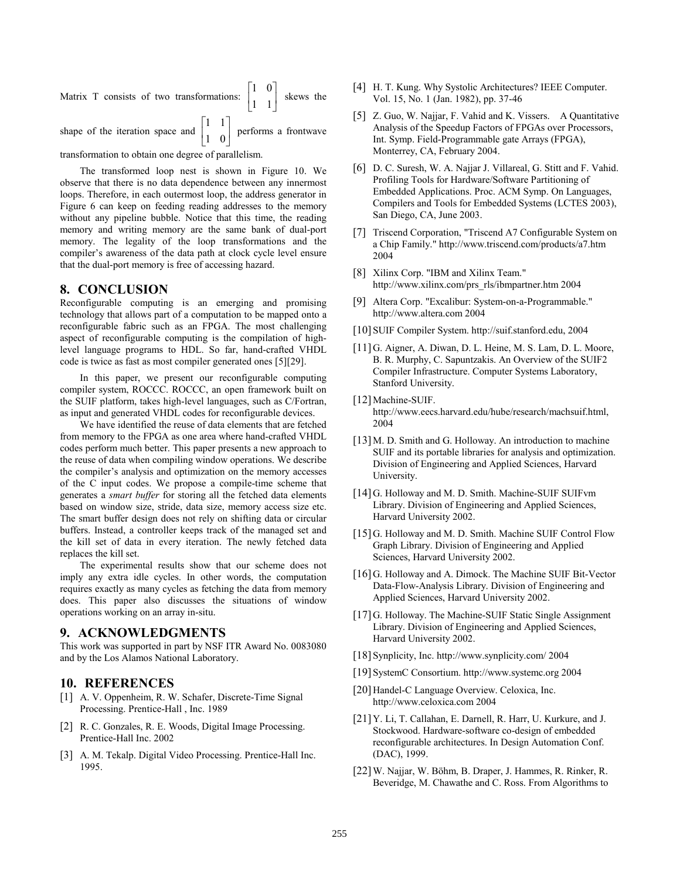<span id="page-6-0"></span>Matrix T consists of two transformations:  $\begin{bmatrix} 1 & 0 \\ 1 & 1 \end{bmatrix}$  $\mathbf{r}$ 1 1  $\begin{bmatrix} 1 & 0 \\ 1 & 1 \end{bmatrix}$  skews the shape of the iteration space and  $\begin{bmatrix} 1 & 1 \\ 1 & 0 \end{bmatrix}$  $\begin{bmatrix} 1 & 1 \\ 1 & 2 \end{bmatrix}$  performs a frontwave

1 0

transformation to obtain one degree of parallelism.

The transformed loop nest is shown in [Figure](#page-5-0) 10. We observe that there is no data dependence between any innermost loops. Therefore, in each outermost loop, the address generator in [Figure 6 c](#page-4-0)an keep on feeding reading addresses to the memory without any pipeline bubble. Notice that this time, the reading memory and writing memory are the same bank of dual-port memory. The legality of the loop transformations and the compiler's awareness of the data path at clock cycle level ensure that the dual-port memory is free of accessing hazard.

## **8. CONCLUSION**

Reconfigurable computing is an emerging and promising technology that allows part of a computation to be mapped onto a reconfigurable fabric such as an FPGA. The most challenging aspect of reconfigurable computing is the compilation of highlevel language programs to HDL. So far, hand-crafted VHDL code is twice as fast as most compiler generated ones [5][[29\].](#page-7-0) 

In this paper, we present our reconfigurable computing compiler system, ROCCC. ROCCC, an open framework built on the SUIF platform, takes high-level languages, such as C/Fortran, as input and generated VHDL codes for reconfigurable devices.

We have identified the reuse of data elements that are fetched from memory to the FPGA as one area where hand-crafted VHDL codes perform much better. This paper presents a new approach to the reuse of data when compiling window operations. We describe the compiler's analysis and optimization on the memory accesses of the C input codes. We propose a compile-time scheme that generates a *smart buffer* for storing all the fetched data elements based on window size, stride, data size, memory access size etc. The smart buffer design does not rely on shifting data or circular buffers. Instead, a controller keeps track of the managed set and the kill set of data in every iteration. The newly fetched data replaces the kill set.

The experimental results show that our scheme does not imply any extra idle cycles. In other words, the computation requires exactly as many cycles as fetching the data from memory does. This paper also discusses the situations of window operations working on an array in-situ.

# **9. ACKNOWLEDGMENTS**

This work was supported in part by NSF ITR Award No. 0083080 and by the Los Alamos National Laboratory.

# **10. REFERENCES**

- [1] A. V. Oppenheim, R. W. Schafer, Discrete-Time Signal Processing. Prentice-Hall , Inc. 1989
- [2] R. C. Gonzales, R. E. Woods, Digital Image Processing. Prentice-Hall Inc. 2002
- [3] A. M. Tekalp. Digital Video Processing. Prentice-Hall Inc. 1995.
- [4] H. T. Kung. Why Systolic Architectures? IEEE Computer. Vol. 15, No. 1 (Jan. 1982), pp. 37-46
- [5] Z. Guo, W. Najjar, F. Vahid and K. Vissers. A Quantitative Analysis of the Speedup Factors of FPGAs over Processors, Int. Symp. Field-Programmable gate Arrays (FPGA), Monterrey, CA, February 2004.
- [6] D. C. Suresh, W. A. Najjar J. Villareal, G. Stitt and F. Vahid. Profiling Tools for Hardware/Software Partitioning of Embedded Applications. Proc. ACM Symp. On Languages, Compilers and Tools for Embedded Systems (LCTES 2003), San Diego, CA, June 2003.
- [7] Triscend Corporation, "Triscend A7 Configurable System on a Chip Family." http://www.triscend.com/products/a7.htm 2004
- [8] Xilinx Corp. "IBM and Xilinx Team." http://www.xilinx.com/prs\_rls/ibmpartner.htm 2004
- [9] Altera Corp. "Excalibur: System-on-a-Programmable." http://www.altera.com 2004
- [10] SUIF Compiler System. http://suif.stanford.edu, 2004
- [11] G. Aigner, A. Diwan, D. L. Heine, M. S. Lam, D. L. Moore, B. R. Murphy, C. Sapuntzakis. An Overview of the SUIF2 Compiler Infrastructure. Computer Systems Laboratory, Stanford University.
- [12] Machine-SUIF. http://www.eecs.harvard.edu/hube/research/machsuif.html, 2004
- [13] M. D. Smith and G. Holloway. An introduction to machine SUIF and its portable libraries for analysis and optimization. Division of Engineering and Applied Sciences, Harvard University.
- [14] G. Holloway and M. D. Smith. Machine-SUIF SUIFvm Library. Division of Engineering and Applied Sciences, Harvard University 2002.
- [15] G. Holloway and M. D. Smith. Machine SUIF Control Flow Graph Library. Division of Engineering and Applied Sciences, Harvard University 2002.
- [16] G. Holloway and A. Dimock. The Machine SUIF Bit-Vector Data-Flow-Analysis Library. Division of Engineering and Applied Sciences, Harvard University 2002.
- [17] G. Holloway. The Machine-SUIF Static Single Assignment Library. Division of Engineering and Applied Sciences, Harvard University 2002.
- [18] Synplicity, Inc. http://www.synplicity.com/ 2004
- [19] SystemC Consortium. http://www.systemc.org 2004
- [20] Handel-C Language Overview. Celoxica, Inc. http://www.celoxica.com 2004
- [21] Y. Li, T. Callahan, E. Darnell, R. Harr, U. Kurkure, and J. Stockwood. Hardware-software co-design of embedded reconfigurable architectures. In Design Automation Conf. (DAC), 1999.
- [22] W. Najjar, W. Böhm, B. Draper, J. Hammes, R. Rinker, R. Beveridge, M. Chawathe and C. Ross. From Algorithms to